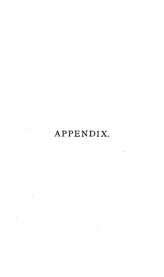# APPENDIX.

 $\sim$ 

 $\sim 10^{-1}$ 

 $\frac{1}{\sqrt{2}}\sum_{i=1}^{n} \frac{1}{i} \sum_{j=1}^{n} \frac{1}{j} \sum_{j=1}^{n} \frac{1}{j} \sum_{j=1}^{n} \frac{1}{j} \sum_{j=1}^{n} \frac{1}{j} \sum_{j=1}^{n} \frac{1}{j} \sum_{j=1}^{n} \frac{1}{j} \sum_{j=1}^{n} \frac{1}{j} \sum_{j=1}^{n} \frac{1}{j} \sum_{j=1}^{n} \frac{1}{j} \sum_{j=1}^{n} \frac{1}{j} \sum_{j=1}^{n} \frac{1}{j} \sum_{j=1$ 

 $\mathcal{L}^{\text{max}}_{\text{max}}$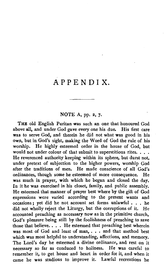# APPENDIX.

# **NOTE** A, pp. **2, 7.**

**THE** old English Puritan was such an one that honoured God above **all,** and under God gave every one his due. His first care was to serve God, and therein he did not what was good in his own, but in God's sight, making the Word of God the rule of his worship. He highly esteemed order in the house of God, but would not under colour of that submit to superstitious rites... He reverenced authority keeping within its sphere, but durst not, under pretext of subjection to the higher powers, worship God after the traditions of men. He made conscience of all God's ordinances, though some he esteemed of more consequence. He was much in prayer, with which he began and closed the day. In it he was exercised in his closet, family, and public assembly. He esteemed that manner of prayer best where by the gift of God expressions were varied according to the present wants and occasions; yet did he not account set forms unlawful . . . he did not wholly reject the Liturgy, but the corruptions of it. He accounted preaching **as** necessary now as in the primitive church, God's pleasure being still by the foolishness of preaching to save those that believe. . . . He esteemed that preaching best wherein was most of God and least of man, . . . and that method best which was most helpful to understanding, affections, and memory. The Lord's day he esteemed a divine ordinance, and rest on it necessary so far as conduced to holiness. He was careful to remember it, to get house and heart in order for it, and when it came he was studious to improve it. Lawful recreations he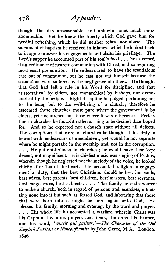thought this day unseasonable, and unlawful ones much more abominable. Yet he knew the liberty which God gave him for<br>needful refreshing, which he did neither refuse nor abuse. The needful refreshing, which he did neither refuse nor abuse. sacrament of baptism he received in infancy, which he looked back<br>to in age to answer his engagements and claim his privilege. The to in age to answer his engagements and claim his privilege. Lord's supper he accounted part of his soul's food . . . he esteemed it an ordinance of nearest communion with Christ, and so requiring most exact preparation. He endeavoured to have the scandalous cast out of communion, but he cast not out himself because the scandalous were suffered by the negligence of others. He thought that God had left a rule in his Word for discipline, and that aristocratical by elders, not monarchical by bishops, nor democratical by the people. Right discipline he judged pertaining not to the being but to the well-being of a church; therefore he esteemed those churches most pure where the government is by elders, yet unchurched not those where it was otherwise. Perfecelders, yet unchurched not those where it was otherwise. tion in churches he thought rather a thing to be desired than hoped for. And so he expected not a church state without all defects. The corruptions that were in churches he thought it his duty to bewail with endeavours of amendment, yet would he not separate where he might partake in the worship and not in the corruption. ... He put not holiness in churches: he would have them kept decent, not magnificent. His chiefest music was singing of Psalms, wherein though he neglected not the melody of the voice, he looked chiefly after that of the heart. He accounted religion an engagement to duty, that the best Christians should be best husbands, best wives, best parents, best children, best'masters, best servants, best magistrates, best subjects. . . . The family he endeavoured to make a church, both in regard of persons and exercises, admitting none into it but such as feared God, and labouring that those that were born into it might be born **again** unto God. He blessed his family, morning and evening, by the word and prayer. ... His whole life he accounted a warfare, wherein Christ was his Captain, his arms prayers and tears, the cross his banner, and his word, 'vincit qui patitur,'-The Character of the Old *English Puritan or Nonconformist* by John Geree, M.A. London, **1646.**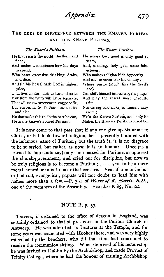Abbendix.

# THE ODDS OR DIFFERENCE BETWEEN THE KNAVE'S PURITAN AND THE KNAVE PURITAN.

#### *The Knave's Puritan.*

#### He that resists !he world, the flesh, and fiend,

- And makes a conscience how his days to spend,
- Who hates excessive drinking, drabs, and dice,
- And (in his heart) hath **God** in highest price,

That livesconformable to law and state, Nor from the tmth will fly or separate, That will notswearorcozen,cogge or lie, But strives in God's fear how to live

and die ;

He that seeks this to do the hest he can, He is the knave's abused Puritan.

#### **The Knave Puritan.**

- He whose best good is only good to seem,
- And, seeming, holy gets some false esteem ;
- Who makes religion hide hypocrisy

And zeal to cover o'er his villany :

Whose purity (much like the devil's ape)

Can shift himself into an angel's shape :

And play the rascal most devoutly trim,

Not caring who sinks, **so** himself may swim ;

He's the Knave Puritan, and only he Makes the Knave's Puritan abused be.

It is now come to that pass that if any one give up his name to Christ, or but look toward religion, he is presently branded with the infamous name of Puritan ; but the truth is, it is no disgrace to be so styled, but rather, as now, it is an honour. Once (as a learned bishop could say) only such passed for Puritans as opposed the church-government, and cried out for discipline, but now to be truly religious is to become a Puritan  $: . . .$  yea, to be a mere moral honest man is to incur that censure. Yea, if a man be but orthodoxal, evangelical, papists will not doubt to load him with names more than a few.-P. **391** of **Works** of R. *Harris, BD.,*  one of the members of the Assembly. See also E 85, No. 20.

#### NOTE B, p. 53.

Travers, if ordained to the office of deacon in England, was certainly ordained to that of presbyter in the Puritan Church of Antwerp. He was admitted as Lecturer at the Temple, and for some years was associated with Hooker there, and was very highly esteemed by the'benchers, who till that time had continued to receive the communion sitting. When deprived of his lectureship he was invited to Dublin by the Archbishop, and made Provost of Trinity College, where he had the honour of training Archbishop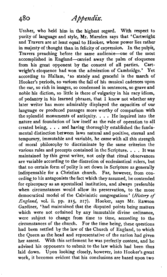Ussher, who held him in the highest regard. With respect to purity of language and style, Mr. Marsden says that 'Cartwright and Travers are at least equal to Hooker, whose power lies rather in majesty of thought than in felicity of expression. In the pulpit, Travers preaching before the same audience-one of the most accomplished in England-carried away the palm of eloquence from his great opponent by the consent of all parties. Cartwright's eloquence had won the admiration of Cambridge.' Yet according to Hallam, 'so stately and graceful is the march of Hooker's periods, so various the fall of his musical cadences upon the ear, so rich in images, so condensed in sentences, so grave and noble his diction, so little is there of vulgarity in his racy idiom, of pedantry in his learned phrases, that  $\tilde{I}$  know not whether any later writer has more admirably displayed the capacities of our language or produced passages more worthy of comparison with the splendid monuments of antiquity. . . . He inquired into the nature and foundation of law itself as the rule of operation to all created being, . . . and having thoroughly established the fundamental distinction between laws natural and positive, eternal and temporary, immutable and variable, he came with all this strength of moral philosophy to discriminate by the same criterion the various rules and precepts contained in the Scripture. . . . It was maintained by this great writer, not only that ritual observances are variable according to the discretion of ecclesiastical rulers, but that no certain form of polity is set down in Scripture as generally indispensable for a Christian church. Far, however, from conceding to his antagonists the fact which they assumed, he contended for episcopacy **as** an apostolical institution, and always preferable when circumstances would allow its preservation, to the more democratical model of the Calvinistic congregations ' *(Hirtoy* **of**  England, vol. ii. pp. **215, 217).** Hooker, says Mr. Rawson Gardiner, 'had maintained that the disputed points being matters which were not ordained by any immutable divine ordinance. were subject to change from time to time, according to the circumstances of the church. For the time being, these questions had been settled by the law of the Church of England, to which the Queen as the head and representative of the nation had given her assent. With this settlement he was perfectly content, and he advised his opponents to submit to the law which had been thus laid down. Upon looking closely, however, into Hooker's great work, it becomes evident that his conclusions are based upon two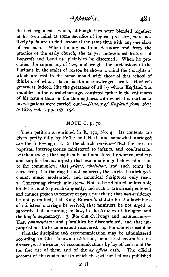distinct arguments, which, although they were blended together in his own mind at some sacrifice of logical precision, were not likely in future to find favour at the same time with any one class of reasoners. When he argues from Scripture and from the practice of the early church, the as yet undeveloped features of Bancroft and Laud are plainly to be discerned. When he proclaims the supremacy of law, and weighs the pretensions of the Puritans in the scales of reason he shows a mind the thoughts of which are cast in the same mould with those of that school of thinkers of whom Bacon is the acknowledged head. Hooker's greatness indeed, like the greatness of all by whom England was ennobled in the Elizabethan age, consisted rather in the entireness of his nature than in the thoroughness with which his particular investigations were carried out.'—History of England from 1603 to 1616, vol. i. pp. **157, 158.** 

# NOTE C, p. **70,**

Their petition is reprinted in E, 170, No. 4. Its contents are given pretty fully by Fuller and Neal, and somewhat abridged are the following  $\cdot -1$ . In the church service-That the cross in baptism, interrogatories ministered to infants, and confirmation be taken away ; that baptism be not ministered by women, and cap and surplice be not urged ; that examination go before admission to the communion; that priests, absolution, and such terms be corrected ; that the ring be not enforced, the service be abridged, church music moderated, and canonical Scriptures only read. 2. Concerning church ministers-Not to be admitted unless able for duties, and to preach diligently, and such as are already entered, and cannot preach to remove or pay a preacher ; that non-residency be not permitted, that King Edward's statute for the lawfulness of ministers' marriage be revived, that ministers be not urged to subscribe but, according to law, to the Articles of Religion and the king's supremacy. 3. For church livings and maintenance-That commendams and pluralities be discontinued, and that impropriations be to some extent recovered. 4. For church discipline -That the discipline and excommunication may be administered according to Christ's own institution, or at least enormities redressed, as the issuing of excommunications by lay officials, and the too free use of them and of the **ex** officio oath. The official account of the confetence to which this petition led was published

 $2H$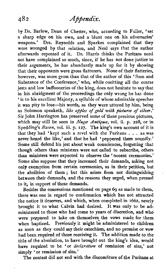by Dr. Barlow, Dean of Chester, who, according to Fuller, 'set a sharp edge on his own, and a blunt one on his adversaries' weapons.' Drs. Reynolds and Sparkes complained that they were wronged by that relation, and Neal says that the author afterwards repented of it. Dr. Harris thinks the Puritans need not have complained so much, since, if he has not done justice to their arguments, he has abundantly made up for it by showing that their opponents were gross flatterers. None of their flatteries, however, was more gross than that of the author of this 'Sum and Substance of the Conference,' who, while omitting all the coarse jests and low buffooneries of the king, does not hesitate to say that in his abridgment of the proceedings the only wrong he has done ' is to his excellent Majesty, a syllable of whose admirable speeches it was pity to lose-his words, as they were uttered by him, being as Solomon speaketh, *like apples of gold. with pictures of silver.'*  Sir John Harrington has preserved some of these precious pictures, which may still be seen in *Nuga Antiqua*, vol. ii. p. 228, or in Spedding's *Bacon*, vol. iii. p. 127. The king's own account of it is that they had 'kept such a revel with the Puritans . . . as was never heard the like,' and that he had 'peppered them soundly.' Some still defend his jest about weak consciences, forgetting that though others than ministers were not called to subscribe, others than ministers were expected to observe the ' nocent ceremonies.' Some also suppose that they increased their demands, asking not only exemption from certain ceremonies, as in their petition, but the abolition of them ; but this arises from not distinguishing between their demands, and the reasons they urged, when pressed to it, in support of these demands.

Besides the concessions mentioned on page 69 as made to them, there was one in regard to confirmation which has not attracted the notice it deserves, and which, when completed in 1662, nearly brought it to what Calvin had desired. It was only to be administered to those who had come to years of discretion, and who were prepared to take on themselves the vows made for them when baptized. Previously it might be administered to children as soon as they could say their catechism, and no promise or vow had been required of those receiving it. The addition made to the title of the absolution, to have brought out the king's idea, would have required to be 'or *declaration* of remission of sins,' not simply 'or remission of sins.'

The contest did not end with the discomfiture of the Puritans at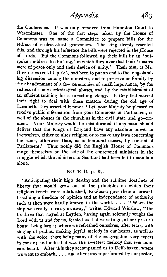483 Appendix.

the Conference. It was only removed from Hampton Court to Westminster. One of the first steps taken by the House of Commons was to name a Committee to prepare bills for the redress of ecclesiastical grievances. The king deeply resented this, and through his influence the bills were rejected in the House of Lords. But the Commons followed up their bills by an 'outspoken address to the king,' in which they aver that their 'desires were of peace only and their device of unity.' Their aim, as Mr. Green says (vol. iii. p. **61),** had been to put an end to the long-standing dissension among the ministers, and to preserve uniformity by "the abandonment of a few ceremonies of small importance, by the redress of some ecclesiastical abuses, and by the establishment of an efficient training for a preaching clergy. If they had waived their right to deal with these matters during the old age of Elizabeth, they asserted it now : ' Let your Majesty be pleased to receive public infdrmation from your Commons in Parliament, as well of the abuses in the church as in the civil state and govemment. Your Majesty would be misinformed if any man should deliver that the Kings of England have any absolute power in themselves, either to alter religion or to make any laws concerning the same, otherwise than, **as** in temporal causes, by consent of Parliament.' Thus nobly did the English House of Commons range themselves on the side of the contemned ministers in the struggle which the ministers in Scotland had been left to maintain alone.

#### NOTE D, p. 87.

'Anticipating their high destiny and the sublime doctrines of liberty that would grow out of the principles on which their religious tenets were established, Robinson gave them a farewell breathing a freedom of opinion and an independence of-authority such as then were hardly known in the world. . . . "When the ship was ready to **carry** us away," writes Edward Winslow, "the brethren that stayed at Leyden, having again solemnly sought the Lord with us and for us, feasted us that were to go, at our pastor's house, being large ; where we refreshed ourselves, after tears, with singing of psalms, making joyful melody in our hearts, as well as with the voice, there being many of the congregation very expert in music; and indeed it was the sweetest melody that ever mine ears heard. After this they accompanied us to Delft-haven, where we went to embark, . . . and after prayer performed by our pastor,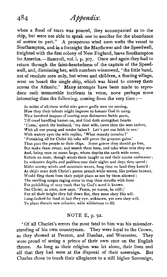when a flood of tears was poured, they accompanied us to the ship, but were not able to speak one to another for the abundance of sorrow to part." A prosperous wind soon wafts the vessel to Southampton, and in a fortnight the Mayflower and the Speedwell, freighted with the first colony of New England, leave Southampton for America.-Bancroft, vol. i. p. **307.** Once and again they had to return through the faint-heartedness of the captain of the Speedwell, and, dismissing her, with numbers winnowed, ' the little band, not of resolute men only, but wives and children, a floating village, went on board the single ship, which was hired to convey them across the Atlantic.' Many attempts have been made to reproduce such memorable incidents in verse, none perhaps more interesting than the following, coming from the very time :-

In midst of all these woful stirs grave godly men sat musing, How they their talents might improve to honour **God** in using. Nine hundred leagues of roaring seas dishearten feeble parts, Till cruel handling hasten on, and God doth strengthen hearts. 'Come,' quoth the husband, 'my dear wife, canst thou the seas endure, With all our young and tender babes? Let's put our faith in ure.' With watery eyes the wife replies, 'What remedy remains ?' ' Forsaking all for Christ his sake will prove the greatest gains.' Thus pass the people to their ships. Some grieve they should go free, But make them swear, and search them hare, and take what coin they see. And, being once on ocean large, whose depths the earth wide sever, Return no more, though winds them taught to end their course endeavour, In unknown depths and pathless seas their nights and days they spend; Midst stormy winds and mountain waves, long time no land they kenn'd : At ship's mast doth Christ's pastor preach while waves, like prelate browed, Would fling them from their pulpit place as not by them allowed ; The swelling surges raging come to stop their mouths with foam For publishing of very truth that by God's word is known. But Christ, as once, now says, 'Peace, ye waves, be still ;' For all their height they fall down flat, they must obey His will. Long-looked-for land at last they eye, unknown, yet own they will, To plant therein new colonies, wide wilderness to fill.

#### NOTE E, p. **92.**

' Of all Charles's errors the most fatal to him was his misunderstanding of his own countrymen. They were loyal to the Crown, as they showed at Preston, and Dunbar, and Worcester. They were proud of seeing a prince of their own race on the English throne. As long as their religion **was** let alone, their lives and all that they had were at the disposal of their sovereign. But Charles chose to touch their allegiance to a still higher Sovereign,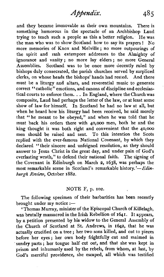Abbendix.  $485$ 

and they became immovable as their own mountains. There is something humorous in the spectacle of an Archbishop Laud trying to teach such a people as this a better religion. He was the man who was to show Scotland how to say its prayers! No the man who was to show Scotland how to say its prayers ! more memories of Knox and Melville; no more outpourings of the spirit and rash extempore addresses to the Almighty of ignorance and vanity; no more lay elders; no more General Assemblies. Scotland was to be once more decently ruled by bishops duly consecrated, the parish churches served by surpliced clerks, on whose heads the bishops' hands had rested. And there must be a liturgy and altars, and reverential music to generate correct "catholic" emotions, and canons of discipline and ecclesiastical courts to enforce them. . . In England, where the Churchwas composite, Laud had perhaps the letter of the law, or at least some show of law for himself. In Scotland he had no law at all, but when he heard how his liturgy had been received, he said merely that "he meant to be obeyed," and when he was told that he must back his orders there with 40,000 men, both he and the king thought it was both right and convenient that the 40,000 men should be raised and sent. To this intention the Scots replied with the ever-famous National Covenant, by which they declared "their sincere and unfeigned resolution, as they should answer to Jesus Christ in the great day, and under pain of God's everlasting wrath," to defend their national faith. The signing of the Covenant in Edinburgh on March 2, 1638, was perhaps the most remarkable scene in Scotland's remarkable history.'-Edinburgh Review, October 1882.

#### NOTE F, p. 102.

The following specimen of their barbarities has been recently brought under  $my$  notice  $:=$ 

' Thomas Murray, minister of the Episcopal Church of Killelagh, was brutally massacred in the Irish Rebellion of 1641. It appears. by a petition presented by his widow to the General Assembly of the Church of Scotland at St. Andrews, in 1642, that he was actually crucified on a tree ; her two sons killed, and cut to pieces before her eyes; her own body frightfully cut and maimed in sundry parts; her tongue half cut out, and that she was kept in prison and inhumanly used by the rebels, from whom, at last, by God's merciful providence, she escaped, all which was testified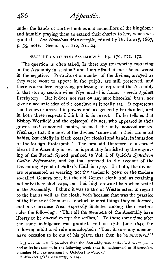under the hands of the best nobles and councillors of the kingdom ; and humbly praying them to extend their charity to her, which was granted.-The *Hamilton Manuscripts,* edited by Dr. Lowry, 1867, p. **35,** note. See also, E 112, No. **24.** 

## DESCRIPTION OF THE ASSEMBLY.<sup>1</sup>-Pp. 170, 171, 172.

The question is often asked, Is there any trustworthy engraving of the Assembly in session ? and I am afraid it must be answered in the negative. Portraits of a number of the divines, arrayed as they were wont to appear in the pulpit, are still preserved, and there is a modem engraving professing to represent the Assembly in that stormy session when Nye made his famous speech against Presbytery. But it does not rest on any sure historical basis, nor give an accurate idea of the conclave as it really sat. It represents the divines as arrayed in gowns and as generally bareheaded, and in both these respects I think it is incorrect. Fuller tells us that Bishop Westfield and the episcopal divines, who appeared in their gowns and canonical habits, seemed the only nonconformists. Neal says that the most of the divines 'came not in their canonical habits, but chiefly in black coats [or cloaks] and bands, in imitation of the foreign Protestants.' The best aid therefore to a correct idea of the Assembly in session is probably furnished by the engraving of the French Synod prefixed to Vol. i. of Quick's *Synodicon*  Gallia Reformata, and by that prefixed to the account of the Dissenting Synod of Salter's Hall in.1719. In both, the divines are represented as wearing not the academic gown or the modern so-called Geneva one, but the old Geneva cloak, and as retaining not only their skull-caps, but their high-crowned hats when seated in the Assembly. I think it was so also at Westminster, in regard to the hat as well as the cloak, both because that was the practice of the House of Commons, to which in most things they conformed, and also because Neal expressly includes among their earliest rules the following : 'That all the members of the Assembly have liberty to be *covered* except the scribes.' To these some time after the same indulgence was granted, and on 17th June 1645 the following additional rule was adopted : ' That in case any member have occasion to be out of his place, that then he be *uncovered'1* 

**<sup>1</sup> It was on 21% September that the Assembly was authorised to remove to and at its last session in the following week that it 'adjourned to Hierusalern chamber Monday morning [ad October] 10 o'clock.'** 

**<sup>2</sup>** *Mimdes* **of** *the Assembly,* **p. 105.**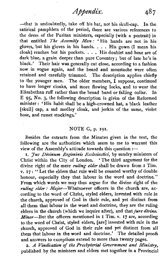-that is undoubtedly, take off his hat, not his skull-cap. In the satirical pamphlets of the period, there are various references to the dress of the Puritan ministers, especially (with a portrait) in that entitled *The Assembly Man*: 'His hands are not in his gloves, but his gloves in his hands. . . . His gown (I mean his cloak) reaches but his pockets. . . . His doublet and hose are of dark blue, a grain deeper than pure Coventry; but of late he's in black.' Their hair was generally cut close, according to a fashion now in vogue again, and the beard and moustache were often retained and carefully trimmed. The description applies chiefly to the younger men. The older members,  $\overrightarrow{\mathbf{I}}$  suppose, continued to have longer cloaks, and more flowing locks, and to wear the Elizabethan ruff rather than the broad band or falling collar. In Elizabethan ruff rather than the broad band or falling collar. E **95,** No. **3,** the following description is given of the Reformed minister : 'His habit shall be a high-crowned hat, a black leather [skull] cap, a sad medley cloak, and jerkin of the same, violet hose, and russet stockings.'

## NOTE G, p. **191.**

Besides the extracts from the Minutes given in the text, the following are the authorities which seem to me to warrant this view of the Assembly's attitude towards this question :--

1. Jus Divinum Regiminis Ecclesiastici, by sundry ministers of Christ within the City of London. 'The third argument for the divine right of the mere **ruling** elder shall be drawn from I Tim. v. **17** : "Let the elders that rule well be counted worthy of double honour, especially they that labour in the word and doctrine." From which words we may thus argue for the divine right of the ruling elder: Major-Whatsoever officers in the church are, according to the word of Christ, styled elders, invested with rule in the church, approved of God in their rule, and yet distinct from all them that labour in the word and doctrine, they are the ruling elders in the church (which we inquire after), and that *jure divino*. Minor-But the officers mentioned in I Tim. v. **17** are, according to the word of Christ, styled elders, [are] invested with rule in the church, approved of God in their rule and yet distinct from all them that labour in the word and doctrine.' The detailed proofs and answers to exceptions extend to more than twenty pages.

2. A Vindication of the Presbyterial Government **and** Ministry, published by the ministers and elders met together in a Provincial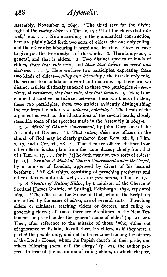# *Appendix,*

Assembly, November 2, **1649.** 'The third text for the divine right of the *rulingelder* is **I** Tim. v. **17** : "Let the elders that rule well," etc.  $\ldots$ . Now according to the grammatical construction, here are plainly held forth two sorts of elders, the one only ruling, and the other also labouring in word and doctrine. Give us leave to give you the true analysis of the words. **I.** Here is a genus, a general, and that is elders. **2.** Two distinct species or kinds of elders, *those that rule well,* and *those* that *labour in word and doctrine.* . . . 3. Here we have two participles, expressing these two kinds of elders-ruling and *labouring;* the first do only rule, the second do also labour in word and doctrine. 4. Here are two distinct articles distinctly annexed to these two participles **01** *irpow-*  **~iSres, 01 ~vwtfiv~es,** *they that rule, they that labour. 5.* Here is an eminent discretive particle set between these two kinds of elders, these two participles, these two articles evidently distinguishing the one from the other, viz., *pilhiura, especially.'* The heads of the argument as well as the illustrations of the several heads, closely resemble some of the speeches made in the Assembly in **1643-4.** 

*3. A Model of Church Government,* by John Dury, one of the Assembly of Divines. **'I.** That *ruling elders* are officers in the church of God may be clearly gathered from Rom. **xii.** 8, **I** Tim. v. **17,** and **I** Cor. xii. **28. 2.** That they are officers distinct from other officers is also plain from the same places ; chiefly from that of **I** Tim. v. **17,** . . . for in [it] he doth mention two sorts of elders ' (p. **19).** See also **A** *Model of Church Gvoemment under the Gospel,*  by a minister of London, approved by divers of his learned brethren : 'All elderships, consisting of preaching presbyters and other elders who do rule well, . . . are *jure divino*, **I** Tim. v. 17.'

**4** A *Treatise of Ruling Elders,* by a minister of the Church of Scotland [James Guthrie, of Stirling], Edinburgh, 1652, reprinted **699.** 'The officers in the House of God, who in the Scriptures are called by the name of *elders,* are of several sorts. Preaching elders or ministers, teaching elders or doctors, and ruling or governing elders ; all these three are oftentimes in the New Testament comprised under the general name of elder' (pp. **21, 22).**  Then, after reference to the mistake of those 'who, either out of ignorance or disdain, do call them lay elders, as if they were a part of the people only, and not to be reckoned among the officers of the Lord's House, whom the Popish church in their pride, and others following them, call the clergy' (p. **23),** the author proceeds to treat of the institution of ruling elders, in which chapter,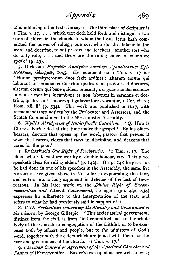after adducing other texts, he says: 'The third place of Scripture is I Tim. v. 17, . . . which text doth hold forth and distinguish two sorts of elders in the church, to whom the Lord Jesus hath committed the power of ruling; one sort who do also labour in the word and doctrine, to wit pastors and teachers ; another sort who do only rule, . . . and these are the ruling elders of whom we speak ' (p. 29).

S. Dickson's *Expositw Analytica omnium Apostolicamm E@ slolarum,* Glasguas, **1645.** His comment on I Tim. v. 17 is: 'Horum presbyterorum duos facit ordines : alterum eorum qui laborant in sermone et doctrina quales sunt pastores et doctores, alterum eorum qui bene quidem præsunt, *i.e.* gubernandæ ecclesiæ in **vita** et moribus incumbunt et non laborant in sermone et doctrina, quales sunt seniores qui gubernatores vocantur, I Cor. xii. **z** ; Rom. **xii.** 8' (p. 534). This work was published in 1647, with recommendatory notices by the Prolocutor and Assessors, and the Scotch Commissioners to the Westminster Assembly.

6. *Wylie's Abridgment of RutherfuriTs Catechism.* ' *Q.* How is Christ's Kirk ruled at this time under the gospel? By his officebearers, doctors that opens up the word, pastors that presses it upon the hearers, elders that **rules** in discipline, and deacons that cares for the poor.'

7. Rutherford's *Due Right of Presbyteries.* ' *I* **Tim.** v. 17. The elders who rule well are worthy of double honour, etc. This place speaketh clear for ruling elders ' (p. 142). On p. 145 he gives, as he had done in one of his speeches in the Assembly, the same five reasons as are given above in No. **2** for so expounding this text, and enters into a long argument in defence of the last of these reasons. In his later work on the *Divine Right of Excomntunication and Church Government,* he again (pp. 432, 434) expresses his adherence to this interpretation of the text, and refers to what he had previously said in support of it.

**8.** *CXL Propositions concerning the Ministry and Government of the Church,* by George Gillespie. 'This ecclesiastical government, distinct from the civil, is from God committed, not to the whole body of the Church or congregation of the faithful, or to be exercised both by officers and people, but to the ministers of God's word, together with the elders which are joined with them for the care and government of the church. $-1$  Tim. v. 17.'

*g. Christian Concord or Agreement of the Associated Churches and Pastors o/Worcestershire.* Baxter's own opinions are well known ;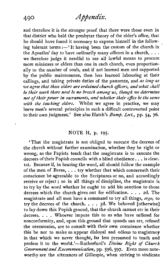and therefore it is the stronger proof that there were those even in that district who held the presbyter theory of the elder's office, that he should have found it necessary to express himself in the following tolerant terms :-'It having been the custom of the church in the Apostles' day to have ordinarily many officers in a church,  $\dots$ we therefore judge it needful to use all lawful means to procure more ministers or elders than one in each church, even proportionally to the number of souls, and if not learned men and supported by the public maintenance, then less learned labouring at their callings, and taking private duties of the pastorate, and *as long as we agree that these elders are ordainedchurch officers, and what shall be* **their** *work there need be no breach among us, though we determine*  not of their power in sacraments, and whether their office be the same *with the teaching elders.* Whilst we agree in practice, we may leave men's several principles in such a difficult controverted point to their own judgment.' See also Hatch's *Bumf. Lect.,* pp. 54, *76.* 

## NOTE H, p. 195.

'That the magistrate is not obliged to execute the decrees of the church without further examination, whether they be right or wrong, as the Papists teach that the magistrate is to execute the decrees of their Popish councils with a blind obedience. . . is clear. 1st. Because if, in hearing the word, all should follow the example of the men of Berea, . . . try whether that which concemeth their conscience be agreeable to the Scriptures or no, and accordingly receive or reject ; so in all things of discipline, the magistrate is to try by the word whether he ought to add his sanction to those decrees which the church gives out for edification. . . . 2d. The magistrate and all men have a command to try all things, *ergo,* to try the decrees of the church. . . . 3d. We behoved [otherwise] to lay down this Popish ground, that the church cannot err in their decrees. . . . Whoever impute this to us who have suffered for nonconformity, and, upon this ground that synods can err, refused the ceremonies, are to consult with their own conscience whether this be not to make us appear disloyal and odious to magistracy in that which we never thought, far less presumed to teach and profess it to the world.'-Rutherfurd's *Divine Right of Church Government and Excommunication*, pp. 596, 597. Even more noteworthy are the utterances of Gillespie, when striving to vindicate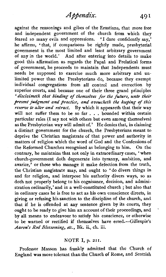against the reasonings and gibes of the Erastians, that more free and independent government of the church from which they feared so many evils and oppressions. 'I dare confidently say,' he affirms, 'that, if comparisons be rightly made, presbyterial government is the most limited and least arbitrary government of any in the world.' And after entering into details to make good this affirmation as regards the Papal and Prelatical forms of government, he proceeds to maintain that Independents must needs be supposed to exercise much more arbitrary and unlimited power than the Presbyterians do, because they exempt individual congregations from all control and correction by superior courts, and because one of their three grand principles ' *disclaimeth that binding of themselves for the future, unto their present judgment and practice, and avoucheth the keeping of this reserve to alter and retract.* By which it appeareth that their way will not suffer them to be so far . . . bounded within certain particular rules (I say not with others but even among themselves) as the Presbyterian way will admit of.' He denies that, in claiming a distinct government for the church, the Presbyterians meant to deprive the Christian magistrate of that power and authority in matters of religion which the word of God and the Confessions of the Reformed Churches recognised as belonging to him. On the contrary, he maintains that not only in extraordinary cases, 'when church-government doth degenerate into tyranny, ambition, and avarice,' or those who manage it make defection from the truth, the Christian magistrate may, and ought to 'do divers things in and for religion, and interpose his authority divers ways, so as doth not properly belong to his cognisance, decision, and administration ordinarily,' and in a well-constituted church ; but also that in ordinary cases he is free to act as his own conscience directs, in giving or refusing his sanction to the discipline of the church, and that if he is offended at any sentence given by its courts, they ought to be ready to give him an account of their proceedings, and by all means to endeavour to satisfy his conscience, or otherwise to be warned or rectified if themselves have erred.-Gillespie's *Aaron's* Rod *Blossoming, etc.,* **Bk.** ii., ch. iii.

#### NOTE I, p. 211.

Professor Masson has frankly admitted that the Church of England was more tolerant than the Church of Rome, and Scottish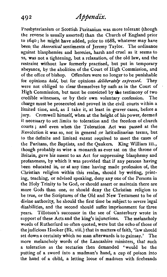# **492** *Appendix,*

Presbyterianism or Scottish Puritanism was more tolerant (though the reverse is usually asserted) than the Church of England prior to 1640 ; he might have added, prior to 1688, whatever may have been the *theoretical* sentiments of Jeremy Taylor. The ordinance against blasphemies and heresies, harsh and cruel as it seems to is, was not a tightening, but a relaxation, of the old law, and the restraint without law formerly practised, but put in temporary abeyance, by the abolition of the Court of High Commission, and of the office of bishop. Offenders were no longer to be punishable<br>for opinions *held*, but for opinions *deliberately expressed*. They for opinions *held*, but for opinions *deliberately expressed*. were not obliged to clear themselves by oath as in the Court of High Commission, but must be convicted by die testimony of two credible witnesses, or by their own voluntary confession. The charge must be prosecuted and proved in the civil courts within a limited time, and, as I take it, at least in graver cases, before a jury. Cromwell himself, when at the height of his power, deemed it necessary to set limits to toleration and the freedom of church courts ; and even when the Toleration Act was passed at the Revolution it was so, not in general or latitudinarian terms, but to the definite and limited extent required to meet the cases of the Puritans, the Baptists, and the Qnakers. King William **III.,**  though probably as wise a monarch as ever sat on the throne of Britain, gave his assent to an Act for suppressing blasphemy and profaneness, by which it was provided that if any persons having been educated in, or at any time having made profession of, the Christian religion within this realm, should by writing, printing, teaching, or advised speaking, deny any one of the Persons in the Holy Trinity to be God, or should assert or maintain there are more Gods than one, or should deny the Christian religion to be true, or the Scriptures of the Old and New Testament to be of divine authority, he should the first time be subject to severe legal disabilities, and the second should suffer imprisonment for three years. Tillotson's successor in the see of Canterbury wrote in support of these Acts and the king's injunctions. The melancholy words of Rutherfurd so often quoted, were but the echo of those of the judicious Hooker (Bk. viii.) that in matters of faith, 'law should set down a certainty which no man afterwards is to gainsay.' The more melancholy words of the Lancashire ministers, that such a toleration as the sectaries then demanded 'would be the putting of a sword into a madman's hand, a cup of poison into the hand of a child, a letting loose of madmen with firebrands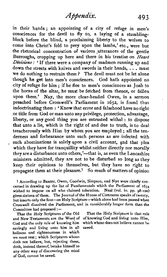in their hands ; an appointing of a city of refuge in men's consciences for the devil to fly to, a laying of a stumblingblock before the blind, a proclaiming liberty to the wolves to come into Christ's fold to prey upon the lambs,' etc., were but the rhetorical concentration of various utterances of the gentle Burroughs, cropping up here and there in his treatise on *Heart* **Divisions** : ' If there were a company of madmen running up and down the streets with knives and swords in their hands, ... must we do nothing to restrain them? The devil must not be let alone though he get into men's consciences. God hath appointed no city of refuge for him ; if he flee to men's consciences as Joab to the horns of the altar, he must be fetched from thence, or fallen upon there.' Nay, the more clear-headed Owen, in a sermon preached before Cromwell's Parliament in 1652, is found thus indoctrinating them : ' Know that error and falsehood have no right or title from God or man unto any privilege, protection, advantage, liberty, or any good thing you are entrusted withal : to dispose that unto a lie, which is the right of and due to truth, is to deal treacherously with Him by whom you are employed ; all the tenderness and forbearance unto such persons as are infected with such abominations is solely upon a civil account, and that plea which they have for tranquillity whilst neither directly nor morally they are a disturbance unto others,'-that is, as even the Lancashire ministers admitted, they are not to be disturbed so long as they keep their opinions to themselves, but they have no right to propagate them at their pleasure.<sup>1</sup> So much of matters of opinion

**1** According to Baxter, Owen, Goodwin, Simpson, and Nye were chiefly con. cerned in drawing up the list of Fundamentals which the Parliament of **1654**  wished to impose on all who claimed toleration. Neal (vol. iv. pp.  $_08\text{-}100$ ) gives sixteen of them. The Journal of the House of Commons speaks of twenty, but inserts only the first-on Holy Scripture-which alone had been passed when Cromwell dissolved the Parliament, and in considerably longer form than the Committee had proposed :-

and New Testaments are the Word of of knowing God and living unto Him,<br>God and the only rule of knowing him which whoso does not believe cannot be God and the only rule of knowing him which coving and living unto bim in all saved. savingly and living unto him in all holiness and righteousness in which **we** must rest ; which Scriptures whoso doth not believe, but, rejecting them, doth, instead thereof, betake himself to any other way of discovering the mind of God, cannot be saved.

That the Holy Scriptures of the Old That the Holy Scripture is that rule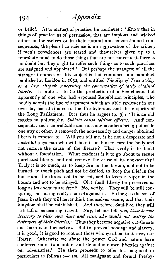or belief. As to matters of practice, he continues : ' Know that in things of practice as of persuasion, that are impious and wicked either in themselves or in their natural and unconstrained consequences, the plea of conscience is an aggravation of the crime ; if men's consciences are seared and themselves given up to a reprobate mind to do those things that are not convenient, there is no doubt but they ought to suffer such things as to such practices are assigned and appointed.' But perhaps the strangest of all the strange utterances on this subject is that contained in a pamphlet published at London in 1652, and entitled *The Key of True Policy or a Free Dispute concerning the conseraation of lately obtained liberty.* It professes to be the production of a Scotchman, but apparently of one who had espoused Republican principles, who boldly adopts the line of argument which an able reviewer in our own day has attributed to the Presbyterians and the majority of the Long Parliament. It is thus he argues (p. **g)** : ' It is an old maxim in philosophy, *5ublata causa tollitur ejfectus.* And\* consequently such unprofitable and noisome members being put aside one way or other, it removeth the non-security and danger obtained liberty is exposed to. Will you tell me, is he not a desperate and unskilful physician who will take it on him to cure the body and not remove the cause of the disease? That verily is to build without a foundation. What madness is it to go about to secure purchased liberty, and not remove the cause of its non-security? Truly it is so much, as to keep fire in the bosom, and not to be burned, to touch pitch and not be defiled, to keep the thief in the house and the throat not to be cut, and to keep a viper in the bosom and not to be stinged. Oh ! shall liberty be preserved as long as its enemies are free? No, verily. They will be still conspiring and taking crafty counsel against it. So long as the son of Jesse liveth they will neverthink themselves secure, and that their kingdom shall be established. And therefore, Saul-like, they will still fall a-persecuting David. Nay, let me tell you, *those become dccessory to their own hurt and ruin, who would not destroy the destroyers of their liberties.* Thus they become negative cut-throats and burrios to themselves. But to prevent bondage and slavery, it is good, it is good to root out those who go about to destroy our liberty. Otherwise we abuse the power God and nature have conferred on us to maintain and defend our own liberties against our adversaries.' He then proceeds to offer his judgment in particulars as follows :- ' 1st. All malignant and formal Presby-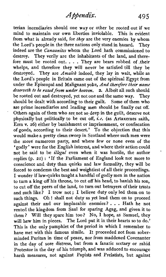terian incendiaries should one way or other be rooted out if we mind to maintain our own liberties inviolable. This is evident from what is already said, for *they* are the very enemies by whom<br>the Lord's people in the three nations only stand in hazard. They the Lord's people in the three nations only stand in hazard. indeed are the *Canaanites* whom the Lord hath commissioned to destroy. They verily are the inhabitants of the land, and therefore must be rooted out. . . . They are bears robbed of their whelps, and therefore they will never be satisfied till they be destroyed. They are *Amalek* indeed, they lay in wait, while as the Lord's people in Britain came out of the spiritual Egypt from under the Episcopal and Malignant yoke, *And therefore their name deserveth to* **be** *rased* **from under** *heaven. 2.* Albeit all such should be rooted out and destroyed, yet not one and the same way. They should be dealt with according to their guilt. Some of them who are prime incendiaries and leading men should be finally cut off. Others again of them who are not so deep in the guilt, deserve not physically but politically to be cut off, *i.e.* (as Artaxerxes saith, Ezra v. 26) either by banishment or imprisonment, or confiscation of goods, according to their desert.' To the objection that this would make a pretty clean sweep in Scotland where such men were the more numerous party, and where few or none even of the 'godly' were for the English interest, and where their action could not be said to be *illegal* even when it was hostile, the author replies (p. 21) : 'If the Parliament of England look not more to conscience and duty than quirks and law formality, they will be forced to condemn the best and weightiest of all their proceedings. I wonder if law-quirks taught a handful of godly men in the nation to turn a king off his throne, to cut off his head, to banish his son, to cut off the peers of the land, to turn out betrayers of their trusts and such like? I trow not; I believe duty only led them on to such things. Oh ! shall not duty as yet lead them on to proceed against their and our implacable enemies? . . . Hath he not rented the kingdom from Saul for sparing Agag, and given it to them? Will they spare him too? No, I hope, as Samuel, they will hew him in pieces. The Lord put it in their hearts so to do.' This is the only pamphlet of the period in which I remember to have met with this famous simile. It proceeded not from soberminded Puritan in time of peace, nor from maddened Covenanter in the day of sore distress, but from a fanatic sectary or rabid Protestor in the day of his triumph, and was adduced to encourage harsh measures, not against Papists and Prelatists, but against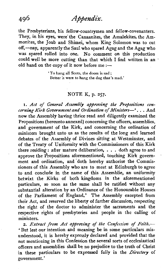the Presbyterians, his fellow-countrymen and fellow-covenanters. They, in his eyes, were'the Canaanites, the Amalekites, the Ammonites, the Joab and Shimei, whom King Solomon was to cut off,-nay, apparently the Saul who spared Agag and the Agag who was spared rolled into one. No comment on this production could well be more cutting than that which I find written in an old hand on the copy of it now before me  $:$ --

**To hang all Scots, the doom is sad** : **Better it were to hang the dog that's mad.'** 

#### NOTE K, p. **257.**

**I.** Act *of General Assembly approving the Propositions concerningKirk Governmentand Ordination of Ministers-'.* . . And now the Assembly having thrice read and diligently examined the Propositions (hereunto annexed) concerning the officers, assemblies, and government of the Kirk, and concerning the ordination of ministers brought unto us as the results of the long and learned debates of the Assembly of Divines sitting at Westminster, and of the Treaty of Uniformity with the Commissioners of this Kirk there residing : after mature deliberation, . . . doth agree to and approve the Propositions aforementioned, touching Kirk government and ordination, and doth hereby authorise the Commissioners of this Assembly who are to meet at Edinburgh to agree to and conclude in the name of this Assemblie, an uniformity betwixt the Kirks of both kingdoms in the aforementioned particulars, so soon as the same shall be ratified without any substantial alteration by an Ordinance of the Honourable Houses of the Parliament of England.' The Assembly excepted from their Act, and reserved the liberty of further discussion, respecting the right of the doctor to administer the sacraments and the respective rights of presbyteries and people in the calling of ministers.

2. Extract from Act approving of the Confession of Faith.-' But lest our intention and meaning be in some particulars misunderstood, it is hereby expressly declared and provided that the not mentioning in this Confession the several sorts of ecclesiastical officers and assemblies shall be no prejudice to the truth of Christ in these particulars to be expressed fully in the *Directory* of government. '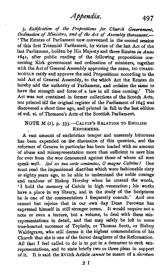497

3. Ratification of the Propositions for Church Government, Ordination of Ministers, and of the Act of Assembly thereanent.-'The Estates of Parliament now conveened in the second session of this first Triennial Parliament, by virtue of the last Act of the last Parliament, holden by His Majesty and three Estates in *Anno*  1641, after public reading of the following propositions concerning Kirk government and ordination of ministers, together with the Act of General Assembly approving the same, DO UNANI-**MOUSLY** ratify and approve the said Propositions according to the said Act of General Assembly, to the which Act the Estates do hereby add the authority of Parliament, and ordaine the same to have the strength and force of a law in all time coming.' **This**  Act **was** not contained in former collections of the Scotch Acts, nor printed till the original register of the Parliament of 1645 was discovered a short time ago, and printed in full in the last edition of vol. **vi.** of Thomson's Acts of the Scottish Parliament.

## **NOTE M (I), p. 333. - CALVIN'S RELATION TO ENGLISH** REFORMERS.

A vast amount of unchristian temper and unseemly bitterness has been expended on the discussion of this question, and the reformer of Geneva in particular has been loaded with an amount of abuse and misrepresentation more than sufficient to save him for ever from the woe denounced against those of whom all men speak well. Sed sis tua sorte contentus, O magne Calvine! One must read the impassioned diatribes which were fashionable sixty or eighty years ago, to be able to understand the noble courage and candour of Bishop Horsley when he uttered the words, 'I hold the memory of Calvin in high veneration; his works have a place in my library, and in the study of the Scriptures he is one of the commentators I frequently consult.' And one cannot but rejoice that in our own day **Dean** Perowne **has**  expressed himself in still stronger terms. It would require not a note or even a lecture, but a volume, to deal with these misrepresentations in detail, and that may safely be left to some true-hearted successor of Toplady, or Thomas Scott, or Bishop Waldegrave, who still deems it the highest commendation of his Church that she is one of the fairest daughters of the Reformation. All that I feel called to do is to put in a demurrer to such misrepresentations, and to state briefly two or three pleas in support of it. It is said the xvIIth Article *cannot* be meant of a *decretum* 

 $2I$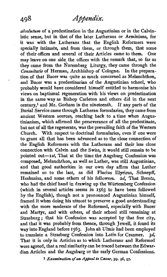absolutum of a predestination in the Augustinian or in the Calvinistic sense, but in that of the later Lutherans or Arminians, for it was with the Lutherans that the English Reformers were specially intimate, and from them, or through them, that some of their offices and several of their Articles came to them. One may leave on one side the offices with the remark that, so far as they came from the Nuremberg Liturgy, they came through the *Consultatio* of Herman, Archbishop of Cologne. In the preparation of that Bucer was quite as much concerned as Melanchthon, and Bucer was a predestinarian of the Augustinian school, who probably would have considered himself entitled to harmonise his . views on baptismal regeneration with his views on predestination in the same way as Bishop Carleton and others did in the next century,<sup>1</sup> and Mr. Gorham in the nineteenth. If any parts of the Burial Service came through Lutheran formularies, they came from ancient Western sources, reaching back to a time when Augustinianism, which affirmed the perseverance of all the predestinate, but not of all the regenerate, was the prevailing faith of the Western Church. With respect to doctrinal formularies, even if one were to grant all that has been advanced as to the close connection of the English Reformers with the Lutherans and their less close connection with Calvin and the Swiss, it would still remain to be pointed out- $_{1st}$ , That at the time the Augsburg Confession was composed, Melanchthon, as well as Luther, was still Augustinian, and that good authorities in our own day affirm that Luther remained so to the last, as did Flacius Illyricus, Schnepff, Heshusius, and some others of his followers. 2d, That Brentz, who had the chief hand in drawing up the Würtemberg Confession (which in several articles seems in 1563 to have been followed by the English), though not a pronounced Augustinian himself, framed it when doing his utmost to preserve a good understanding with the more moderate of the Reformed, especially with Bucer and Martyr, and with others, of their school still remaining at Strasburg; that his Confession was accepted by that free city, and that it was probably from thence, through Jewell, it found its way into England before 1563. John ab Ulmis had been employed to translate a Strasburg Confession into Latin for Cranmer. 3d, That it is only in Articles as to which Lutherans and Reformed were agreed, that a real similarity can be traced between the Edwardian Articles and the Augsburg or the early German Confessions.

**1** *Examination of an Appeal to Casar*, pp. 96, 97.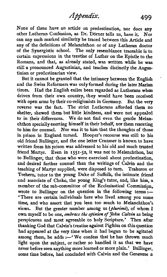None of these have an article on predestination, nor does any other Lutheran Confession, as Dr. Dorner tells us, have it. Nor can any such marked similarity be traced between this Article and any of the definitions of Melanchthon or of any Lutheran doctor of the Synergistic school. The only resemblance traceable is to certain expressions in the treatise of Luther on the Epistle to the Romans, and that, as already stated, was written while he was still a pronounced Augustinian, and teaches distinctly the Augustinian or predestinarian view.

But it cannot be granted that the intimacy between the English and the Swiss Reformers was only formed during the later **Marian**  times. Had the English exiles been regarded as Lutherans when driven from their own country, they would have been received with open arms by their co-religionists in Germany. But the very reverse was the fact. The strict Lutherans afforded them no shelter, shewed them but little kindness, and were not appealed to in their differences. We do not find even the gentle Melanchthon specially exerting himself in their behalf, nor them resorting to him for counsel. Nor was it to him that the thoughts of those in prison in England turned. Hooper's recourse was still to **his**  old friend Bullinger, and the one letter Cranmer is known to have written from his prison was addressed to his old and much trusted friend Martyr. Even in **1551-52,** it was not to Melanchthon, but to Bullinger, that those who were exercised about predestination, and desired further counsel than the writings of Calvin and the teaching of Martyr supplied, were disposed to turn. Traheron or Trehem, tutor to the young Duke of Suffolk, the intimate friend and associate of Cheke, the young King's tutor, and, like him, a member of the sub-committee of the Ecclesiastical Commission. wrote to Bullinger on the question in the following terms  $:$ 'There are certain individuals here who lived, among you some time, and who assert that you lean too much to Melanchthon's views. But the greater number among us (*plurimi*), of whom I own myself to be one, embrace the *opinion of John Calvin* as being perspicuous and most agreeable to holy Scripture.' Then after thanking God that Calvin's treatise against Pighius on this question had appeared at the very time when it had begun to be agitated among them, he adds :- 'We confess that he has thrown much light upon the subject, or rather so handled it **as** that we have never before seen anything more learned or more plain.' Bullinger, some time before, had concluded with Calvin and the Genevese a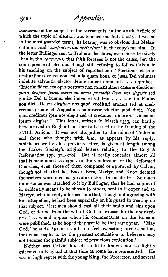*consensus* on the subject of the sacraments, in the xvith Article of which the topic of election was touched on, but, though it was so in the most guarded terms, its bearing was so obvious that Melanchthon is said 'confodisse eum articulum' in the copy'sent him. In the letter Bullinger sent to Traheron he states, even more decisively than in the *consensus,* that faith foreseen is not the cause, but the consequence of election, though still refusing to follow Calvin in his teaching on the subject of reprobation : 'Electionis et prædestinationis causa non est alia quam bona et **justa** Dei voluntas indebite salvantis electos debite autem damnantis . . reprobos.' 'Interim fidem ceu opus nostrum non constituimus causam electionis *quasi fropter fidem quam in nobis previdit Deus nos elegerit* sed gratiae Dei tribuimus electionem et salutem . . . Etenim Paulus non dicit Deum elegisse nos quod credituri eramus **sed** ut crederemus; unde et Augustinus sumpsisse videtur quod dixit, Non quia credimus ipse nos elegit sed ut credamus ne priores videamus ipsum elegisse.' This letter, written in March 1553, can hardly have arrived in England in time to be used in the framing of the ~~11th Article. It was not altogether to the mind of Traheron and those who thought with him, as appears by his reply, which, as well as his previous letter, is given at length among the Parker Society's original letters relating to the English Reformation (pp. 324-328). But it really concedes almost all that is maintained as dogma in the Confessions of the Reformed Churches, even those of them composed or approved by Calvin, though not all that he, Bucer, Beza, Martyr, and Knox deemed themselves warranted as private doctors to inculcate. So much importance was attached to it by Bullinger, that he had copies of it, evidently meant to be shown to others, sent to Hooper and to Martyr, who in reply informed him that, though not agreeing with him altogether, he had been especially on his guard in treating on that subject, 'lest men should cast all their faults and sins upon God, or derive from the will of God an excuse for their wickedness,' as would appear when his commentaries on the Romans were published, as he hoped they would be that same year. 'May God,' he adds, ' grant us all so to feel respecting predestination, that what ought to be the greatest consolation to believers may not become the painful subject of pernicious contention.'

Neither was Calvin himself so little known nor so lightly esteemed in England at that time as some have represented. He was in high repute with the young King, the Protector, and several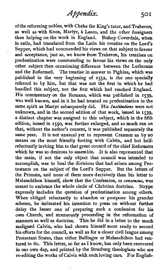of the reforming nobles, with Cheke the King's tutor, and Traheron, as well as with Knox, Martyr, **A** Lasco, and the other foreigners then helping on the work in England. Bishop Coverdale, when in exile, had translated from the Latin his treatise on the Lord's Supper, which had commended his views on that subject to favour and acceptance, just as, we know from Traheron, his treatises on predestination were commending to favour his views on the only other subject then occasioning difference between the Lutherans and the Reformed. The treatise in answer to Pighius, which was published in the very beginning of 1552, is the one specially referred to by him, but that was not the first in which he had handled this subject, nor the first which had reached England. His commentary on the Romans, which was published in 1539, was well known, and in it he had treated on predestination in the same spirit as Martyr subsequently did. His Institutions were not unknown, and in the second edition of that work, issued in 1539, a distinct chapter was assigned to this subject, which in the fifth edition, issued in 1550, was further enlarged, and so much run on that, without the author's consent, it was published separately the same year. It is not unusual yet to represent Cranmer as by no means on the most friendly footing with Calvin, and but halfreluctantly inviting him to that great council of the chief Reformers which he was so desirous to assemble. It is also represented that the main, if not the only object that council was intended to accomplish, was to heal the divisions that had arisen among Protestants on the subject of the Lord's Supper. But the letters of the Primate, and none of them more decisively than his letter to Melanchthon himself, show that the Confession, or consensus, was meant to embrace the whole circle of Christian doctrine. Strype meant to embrace the whole circle of Christian doctrine. expressly includes the question of predestination among others. When obliged reluctantly to abandon or postpone his grander scheme, he intimated his intention to press on without further delay the lesser one of preparing such a confession for his own Church, and strenuously proceeding in the reformation of This he did in a letter to the much maligned Calvin, who had shown himself more ready to second his efforts for the council, as well as for a closer civil league among Protestant States, than either Bullinger or Melanchthon had ventured to do. This letter, so far as I know, has only been recovered in our own day, and printed by the Strasburg theologians who are re-editing the works of Calvin with suchloving care. For English-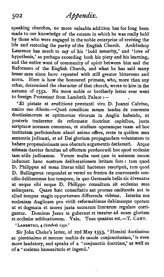speaking churches, no more valuable addition has for long been made to our knowledge of the esteem in which he was really held by those who were engaged in the noble enterprise of reviving the life and restoring the purity of the English Church. Archbishop Laurence has much to say of his 'bold temerity,' and 'love of hypothesis,' as perhaps exceeding both his piety and his learning, and the entire want of community of spirit between him and the Reformers of the English Church, and what he has said many lesser men since have repeated with still greater bitterness and<br>scorn. Here is how the honoured primate who more than any Here is how the honoured primate, who, more than any other, determined the character of that church, wrote to him in the autumn of **1552.** No more noble or brotherly letter ever went to foreign Protestant from Lambeth Palace  $:=$ 

'Et pietate et eruditione præstanti viro D. Joanni Calvino, amico suo di1ecto.-Quod consilium meum laudas de conventu doctissimorum et optimorum virorum in Anglia habendo, ut posteris traderetur de reformatæ doctrinæ capitibus, juxta scripturæ normam consensus, et studium operamque tuam ad hoc institutum perficiendum alacri animo offers, recte tu quidem mea sententia judicasti, et ad Dei gloriam propagandam voluntatem te habere propensissimam non obscuris argumentis declarasti. Atque utimam daretur facultas ad effectum perducendi hoc quod ecclesise tam utile judicamus. Verum multa sunt quæ in animum meum inducunt hanc nostram deliberationem irritam fore: tum quod D. Philippus ad meas literas nihil hactenus rescripsit, tum quod D. Bullingerus respondet se vereri ne frustra de convocando concilio deliberemus hoc tempore, in quo Germania bello sic divexatur ut neque sibi neque D. Philippo consultum sit ecclesias suas relinquere. Ouare hæc consultatio aut prorsus omittenda aut in aliud tempus magis opportunum differenda videtw. Interim nos ecclesiam Anglicam pro virili reformabimus dabimusque operam ut et dogmata et mores juxta sacrarum literarum regulam corri-<br>gantur. Dominus Iesus te gubernet et tueatur ad suam gloriam **gantur.** Dominus Jesus te gubemet et tueatur ad suam gloriam et ecclesize zedificationem. Vale. Tuus quantus est.-T. CANT.

**'LAMBETHII, 4** *Ocfolris* **1552.'** 

Sir John Cheke's letter, of 22d May 1553, 'Homini doctissimo ac pientissimo et mecum multis de causis conjunctissimo,' is even more laudatory, and speaks of a 'conjunctio doctrinse,' as well as of a 'societas humanitatis et ingenii.'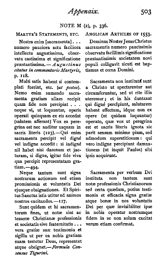# NOTE M **(2),** p. 336.

Nostra enim [sacramenta]. . . numero pauciora actu faciliora intellectu augustissima, observatu castissima et significatione præstantissima.  $-A\mu$ gustinus *citatus in commentario Martyris.* p. 118.

Multi satis habent si contemplati fuerint, etc. (ut postea). Nemo enim sumendo sacra-<br>menta gratiam ullam recipit menta gratiam ullam quam fide non percipiat . . . neque **vi,** ut loquuntur, opens operati quicquam ex eis accedat (salutem afferant) Vox ea peregrina est nec auditur usquam in sacris literis  $(123)$ .- $\overrightarrow{O}$ ui enim sacramenta percipit vel digné vel indigne accedit : si indigné nil habet nisi damnum et jacturam, si digne, igitur fide viva qua percipit representatam gra $tiam. -494.$ 

Neque tantum sunt signa nostrarum actionum sed etiam promissionis et voluntatis Dei ejusque obsignationes. Et Spiritus Sanctus istis utitur ad animos nostros excitandos.-II7.

Sunt quidem et hi sacramentorum fines, ut notæ sint ac tesseræ Christianæ professionis et societatis sive fraternitatis . . . vera gratiæ suæ testimonia et sigilla ut per ea nobis gratiam sum testetur Deus, representet atque obsignet.-Formula Consensus **Tigunni.** 

#### ANGLICAN ARTICLES OF 1553.

Dominus Noster JesusChristus sacramentis numero paucissimis observatu facillimis significatione praestantissimis societatem novi populi colligavit sicuti est baptismus et ccena Domini.

Sacramenta non institute sunt a Christo ut spectarentur aut circumferuntur, sed ut rite illis uteremur; et in his duntaxat qui digné percîpiunt, salutarem habent effectum, idque non ex opere (ut quidam loquuntur) operato, quse vox ut peregrina est et sacris literis ignota sic parit sensum minime pium, sed admodum superstitiosum : qui vero indigne percipiunt damnationem (ut inquit Paulus) sibi ipsis acquirunt.

sacramenta per verbum Dei instituta non tantum sunt notæ professionis Christianorum sed certa quzedam, potius testimonia et efficacia signa gratiæ atque bonæ in nos voluntatis Dei per quæ invisibiliter ipse in nobis operatur nostramque fidem in se non solum excitat<br>verum etiam confirmat.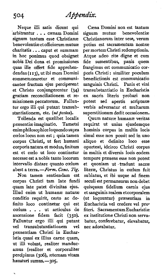arbitrantur . . . cænam Domini<br>signum tantum esse Christianæ benevolentiæetofficiorum mutuæ potius est sacramentum nostræ charitatis . . . caput et summam per mortem Christi redemptionis.<br>in hoc ponimus quod obsignet Atque adeo rite digne et cum in hoc ponimus quod obsignet Atque adeo rite digne et cum nobis Dei dona et promissiones fide sumentibus, panis quem quas ille offert fide apprehen-<br>dendas (113), ut ibi mors Domini commemoraretur et communi-<br>cantes fructum eius perciperent et Christo conjungerentur (34) gratiam reconciliationem et regratiam reconciliitionem et re- ex sacris literis probari non tur ergo illi qui putant transub-<br>stantiationem, etc. (ut postea).

enimphilosophiceloquendosupra hominis corpus in multis locis cœlos locus non est ; quia tamen simul esse non possit sed in uno corpus Christi, ut fert humani aliquo et definito loco esse corpus Christi, ut fert humani aliquo et definito loco esse est et ccelo ut loco continetur in multis et diversis Iocis eodem necesse est a nobis tanto locorum tempore præsens esse non potest intervallo distare quanto cœlum et quoniam ut tradunt sacrae intervallo distare quanto cœlum et quoniam ut tradunt sacree abest a terra.  $\frac{F\text{O}}{m}$  Cons. Tig. litera, Christus in cœlum fuit

corpus Christi tam late fundi seculi est permansurus non debet<br>quam late patet divinitas ejus. quisquam fidelium carnis ejus Illud enim ut humanae naturae et sanguinis realem etcorporalem conditio requirit, certo ac de- (ut loquuntur) præsentiam in finito loco continetur qui est Eucharistia vel credere vel profinito loco continetur qui est Eucharistia vel credere vel pro-<br>cœlum . . . ut articulus de fiteri. Sacramentum Eucharistia coelum . . . ut articulus de fiteri. Sacramentum Eucharistiae<br>ascensione fidem facit (250), ex-institutione Christinon servaascensione fidem facit (350). ex institutione Christi non serva-<br>Falluntur ergo illi qui putant batur, conferebatur, elevabatur, Falluntur ergo illi qui putant batur, conferebatur, elevat transubstantiationem vel nec adorabatur. vel transubstantiationem vel præsentiam Christi in Eucharistia quasi ex illius carne **quam,**  ut illi volunt, realiter manducamus (realiter et corporaliter percipimus (306), æternam vitam hausturi sumus.-205.

Neque illi satis dicunt qui Cæna Domini non est tantum<br>bitrantur ... cænam Domini signum mutuæ benevolentiæ Christianorum inter sese, verum poris Christi : similiter poculum<br>benedictionis est communicatio sanguinis Christi. Panis et vini<br>transubstantiatio in Eucharistia potest sed apertis scripturæ<br>verbis adversatur et multarum. antiationem, etc. (ut postea). superstitionum dedit occasionem.<br>Tollenda est quælibet localis Ouum naturæ humanæ veritas

Tollenda est quælibet localis Quum naturæ humanæ veritas præsentiæ imaginatio. Tametsi requirat ut unius ejusdemque Tametsi requirat ut unius ejusdemque oporteat, idcirco Christi corpus est a terra.-*Form. Cons. Tig.* literæ, Christus in cœlum fuit<br>Non tamen sentiendam est sublatus et ibi usque ad finem sublatus, et ibi usque ad finem quisquam fidelium carnis ejus.

504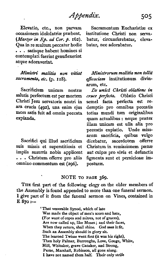occasionem idololatrise prsebent. institutione Christi non serva- (Martyr in **Ep.** ad **Car. p. 162).** batur, circumferebatur, eleva-Qua in re multum peccatur hodie batur, nec adorabatur. . . . satisque habent homines si contemplati fuerint genuflexerint atque adoraverint.

*Minisfn-* malitia non vitiat sacramenta, etc. (p. 118).

Sacrificium unicum nostræ salutis perfectum est per mortem Christi Jesu servatoris nostri in ara crucis **(4gz),** una enim ejus mors satis hit ad omnia peccata expianda.

Sacrifici qui illud sacrificium suis missis et superstitiosis et impiis susurris nobis applicent . . . Christum offerre pro aliis omnino commentum est **(296).** 

Elevatio, etc., non parvam Sacramentum Eucharistiæ ex

Miinistrorum malitia **mn** *tollit efficaciam* institutionum divinarum, etc.

**De unicd.** *Christi* obZatione in **cme perfects.** Oblatio Christi semel facta perfecta **est** redemptio pro omnibus peccatis totius mundi tum originalibus quam actualibus : neque præter illam unicam est ulla alia pro peccatis expiatio. Unde missarum sacrificia, quibus vulgo dicebatur, sacerdotem offerre Christum in remissionem psenae aut culpae pro **vivis** et defunctis figmenta sunt et perniciosae **im**posturæ.

#### **NOTE TO PAGE 369.**

**THE** first part of the following elegy on the older members of the Assembly is found appended to more than one funeral sermon. I give part of it from the funeral sermon on Vines, contained in <sup>E</sup>**870** :-

> ' That venerable **Synod,** which of late Was made the object of men's scorn and hate, (For want of copes and mitres, not of graces), Are now called up, like **Moses** ; and their faces, When they return, shall shine. God **sees** it fit, Such an Assembly should in glory sit. The learned **Twisse** went fast (it was **his** right), Then holy Palmer, Burroughs, Love, Gouge, White. Hill, Whitaker, grave Gataker, and Strong, Peme, Marshall, Robinson, all gone along. I have not named them half. Their only strife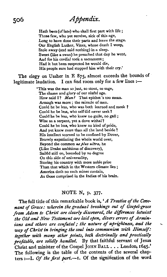Hath been (of late) who shall first part with life; Those few, who yet survive, sick of this age, Long to have done their parts and leave the stage. Our English Luther, Vines, whose death I weep, Stole away (and said nothing) in a sleep. Sweet (like a swan) he preached that day he went, And for his cordial took a sacrament ; **Had** it but been suspected he would die, His people sure had stopped him with their cry.'

The elegy on Ussher in E **875,** almost exceeds the bounds of legitimate laudation. I can find room only for a few lines :--

> 'This was the man so just, so stout, so sage, The shame and glory of our sinful age. How said I? Man? That epithet's too mean. Armagh was more ; the miracle of men. Could he be less, who was both learned and meek ? Could he be less, who self did never seek? Could he he less, who knew no guile, no gall ; Wise as a serpent, yet a dove withal? Could he be less, who knew no kind of pride, And yet knew more than all the land beside ? His intellect scorned to be confined by Dover, Bravely expatiating the whole world over, Beyond the common ne plus ultra, he (Like Drake ambitious of discovery), Sailed still on, bounded by no degree On this side of universality, Storing his country with more noble prize **Than** that which in the Western climate lies ; America doth no such mines contain, As **those** comprised in the Indies of his brain.

## NOTE N, p. 377.

The fall title of this remarkable book is, *'A Treatise of the Cwenant of Grace: wherein the gradual breakings out of Gospel-grace*  from Adam to Christ are clearly discovered, the differences betwixt<br>the Old and New Testament are laid open, divers errors of Armin-<br>ians and others are confuted; the nature of uprightness, and the<br>way of Christ in bringin *the* **Old** *and New Testament are laidopen, divers errors of Armintogether with many other points, both doctrinally and practically profitable, are solidly handled. By* that faithful servant of Jesus Christ and minister of the Gospel **JOHN BALL** . . . London, *1645.'*  The following is the table of the contents of the several chapters :-I. Of the first part.-I. Of the signification of the word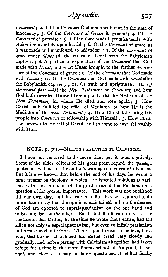Covenant: 2. Of the Covenant God made with man in the state of innocency: 3. Of the *Covenant* of Grace in general: **4**. Of the Covenant of promise ; **S.** Of the Covenant of promise made with Adam immediately upon his fall  $: 6.$  Of the *Covenant* of grace as it was made and manifested to Abraham ; **7.** Of the Covenant of grace under Moses till the return of Israel from the Babylonish captivity ; 8. **A** particular explication of the Covenant that God made with *Israel*, and what Moses brought to the further expressure of the Covenant of grace : 0. Of the *Covenant* that God made with *David*; 10. Of the Covenant that God made with *Israel* after the Babylonish captivity ; **11.** Of truth and uprightness. **11.** Of the second part. $-$ Of the New Testament or Covenant, and how God hath revealed Himself herein ; 2. Christ the Mediator of the New Testament, for whom He died and rose again: 3. How Christ hath fulfilled the office of Mediator, or how He is the Mediator of the New Testament; **4.** How Christ doth bring His people into *Covenant* or fellowship with Himself; 5. How Christians answer to the call of Christ, and so come to have fellowship with Him.

## NOTE, p. 391.-MILTON's RELATION TO CALVINISM.

I have not ventured to do more than put it interrogatively. Some of the older editors of his great poem regard the passage quoted as evidence of the author's leaning to moderate Calvinism. But it is now known that before the end of his days he wrote a large treatise on theology in which he advocated opinions at variance with the sentiments of the great **mass** of the Puritans on a question of far greater importance. This work was not published till our own day, and its learned editor has not ventured to do inore than to say that the opinions maintained in it on the decrees of God are opposed to supralapsarianism on the one hand and to Socinianism on the other. But I find it difficult to resist the conclusion that Milton, by the time he wrote that treatise, had bid adieu not only to supralapsarianism, but even to infralapsarianism in its most moderate form. There is good reason to believe, however, that he had abandoned his earlier creed very slowly and gradually, and before parting with Calvinism altogether, had taken refuge for a time in the more liberal school of Amyraut, Davenant, and Howe. It may be fairly questioned if he had finally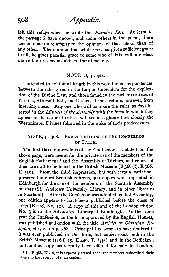left this refuge when he wrote the *Paradise Lost*. At least in the passage I have quoted, and some others in the poem, there seems to me more affinity to the opinions of that school than of any other. The opinion, that while God has given sufficient grace to all, he gives peculiar grace to some who of His will are elect above the rest, seems akin to their teaching.

# NOTE 0, p. **424.**

I intended to exhibit at length in this note the correspondences between the rules given in the Larger Catechism for the explication of the Divine Law, and those found in the earlier treatises of Perkins, Attersoll, Ball, and Ussher. I must refrain, however, from inserting these. Any one who will compare the rules as first inserted in the *Minutes* of *the Assembly* with the form in which they appear in the earlier treatises will see at a glance how closely the Westminster Divines followed in the wake of their predecessors.

## NOTE, p. 368.-EARLY EDITIONS OF THE CONFESSION OF FAITH.

The first three impressions of the Confession, as stated on the above page, were meant for the private use of the members of the English Parliament,<sup>1</sup> and the Assembly of Divines, and copies of them are still to be found in the British Museum (E 366 (?), E 368, E 516). From the third impression, but with certain variations preserved in most Scottish editions, 300 copies were reprinted in Edinburgh for the use of the members of the Scottish Assembly of **1647** (St. Andrews University Library, and in other libraries in Scotland). After the Confession was adopted by that Assembly, one edition appears to have been published before the close of **1647** (E 418, No. 12). A copy of this and of the London edition NO. **3** is in the Advocates' Library at Edinburgh. In the same year the Confession, in the form approved by the English Houses, was published at London with the title *Articles* of *Christian Religion*, etc., as on p. 368. Principal Lee seems to have doubted if it was ever published in this form, but copies exist both in the British Museum (I 16 **f, 19, E** 449, T. **188)** and in the Bodleian ; and another copy has recently been offered for sale in London.

**<sup>1</sup>In E 388, No. 6, it is expressly stated that** ' **the members subscribed their names to the receipt' of their copies.** 

 $508$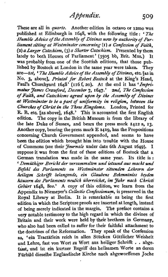These are all in *quarto.* Another edition in octavo or 12mo was published at Edinburgh in **1648,** with the following title : *The Humble Advice of the Assembly of Divines now by authority of Par- /iament sifting at Westminster concerning* **(I)** *a Confession of Faith,*  (2) *a Larger Catechism,* **(3)** *a Shorter Catechism.* Presented by them lately to both Houses of Parliament' (3505 bb, Brit. Mus.) It was probably from one of the Scottish editions, that those published by Bostock at London in the same year were taken. They *are-Ist,* ' *The Humble Advice of the Assembly of Divines,* etc. [as in NO. 3, above], *Printed for Robert Bostock* at the King's Head, Paul's Churchyard  $1648'$  (116 f, 20). At the end it has 'Impri*mafur Jams Crawford, December* **7, 1647.'** *2nd, The Confisswn of Faith, and Catechisms agreed upon by the Assembly of Divines at Westminster to be a fart of uniformity in religion, between the Churches of Christ in* the *Three Kingdoms.* London, Printed for R. B. etc. **[as** above], **1648.'** This is accounted the first English edition. The copy in the British Museum is from the library of the late Duke of Sussex, and bears the press mark **1412** a, **13.**  Another copy, bearing the press mark E **1419,** has the Propositions concerning Church Government appended, and seems to have been the edition which brought him into trouble with the House of Commons (see their *Journals* under date 6th August 1649). I suppose it was from the first of these editions of Bostock that a German translation was made in the same year. Its title is : ' *Demlithiger Bericht der versammelten and ietzund am macht und Befehl* des *Parlaments zu Westmdnsler sitzenden Lehrern a'e~ heilegm &hn.'fft belangende, ein Glaubens Bekenntniss beyden hausern des Parlaments dich dberreaChet, im Jahr nach Christi*  Gebürt 1648,  $8vo$ .' A copy of this edition, we learn from the Appendix to Niemeyer's *Collectio Confessionum*, is preserved in the Royal Library at Berlin. It is remarkable as being the first edition in which the Scripture proofs are inserted at length, instead of being merely indicated in the margin. The preface contains a very notable testimony to the high regard in which the divines of Britain and their work were held by their brethren in Germany, who also had been called to suffer for their faithful attachment to the doctrines of the Reformation. They speak of the Confession as, 'ein Tractätlein reich in allen Stücken Göttlicher Weisheit und Lehre, fast von Wort zu Wort aus heiliger Schrifft . . abgefasst, und ist ein kurtzer Begriff des heilsamen Worte an deren Fürbild dieselbe Engländische Kirche nach abgeworffenen Joche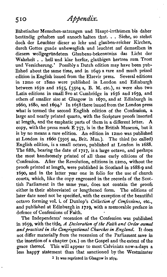Babstischer Menschen-satzungen und Haupt-irrthiimen bis daher beständig gehalten und annoch halten thut. . . Siehe, so stehet doch der Leuchter dieser so lehr und glauben-reicher Kirchen, durch Gottes guade unbeweglich und leuchtet auf demselben in diesem wollgegriindetem Glaubens-bekenntniss das Licht der Wahrheit . . hell und klar herfiir, glaubigen hertzen zum Trost und Versicherung.' Possibly a Dutch edition may have been published about the same time, and in 1649 a rare and much prized edition in English issued from the Elzevir press. Several editions in 12mo or 18mo were published in London and Edinburgh between 1650 and 1655, (3504 a, B. M. etc.), as were also two Latin editions in small 8vo at Cambridge in 1656 and 1659, and others of smaller size at Glasgow in 1670, and at Edinburgh in 1660,1680, and 1694' In 1658 there issued from the London press what is termed the second English edition of the Confession, a large and neatly printed quarto, with the Scripture proofs inserted at length, and the emphatic parts of them in a different letter. A copy, with the press mark  $E$  757, is in the British Museum, but it is by no means a rare edition. An edition in 12mo was published at London in 1660 (3505 an, Brit. Mus.). The third (so called) English edition, is a small octavo, published at London in 1688. The fifth, bearing the date of 1717, is a large octavo, and perhaps the most handsomely printed of all these early editions of the Confession. After the Revolution, editions in 12m0, without the proofs printed at length, were published in Scotland in 1688-9 and 1690, and in the latter year one in folio for the use of church courts, which, like the copy engrossed in the records of the Scottish Parliament in the same year, does not contain the proofs either in their abbreviated or lengthened form. The editions of later date need not be specified, with the exception of the beautiful octavo forming vol. i. of Dunlop's Collection of Confessions, etc., and published at Edinburgh in 1719, with a memorable preface in defence of Confessions of Faith.

The Independents' recension of the Confession was published in 1659, with the title, A Declaration of the Faith and Order owned and practised in the Congregational Churches in England. It does not differ materially from the recension of the Parliament save in the insertion of a chapter **(xx.)** on the Gospel and the extent of the grace thereof. This will appear to most Calvinists now-a-days a less happy statement than that sanctioned by the Westminster

**1 It was reprinted in Glasgow in 1674.**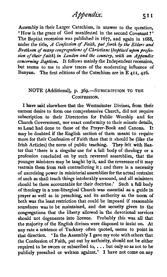Assembly in their Larger Catechism, in answer to the question, 'How is the grace of God manifested in the second Covenant ? ' The Baptist recension was published in **1677,** and again in **1688,**  under the title, A *Confession of Faith, put forth* **ty** *the Elders* **and**  *Brethren of many congregations of Christlam (baptized upon frofes*sion of their faith) in London and the country, with an Appendix *concerning Baptism.* It follows mainly the Independent recension, but seems to me to show traces of the moderating influence of Bunyan. The first editions of the Catechism are in E **411, 416.** 

# **NOTE** (Additional), p. 369.-SUBSCRIPTION TO THE CONFESSION.

I have said elsewhere that the Westminster Divines, from their earnest desire to form one comprehensive Church, did not require subscription to their Directories for Public Worship and for Church Government, nor exact conformity to their minute details, as Laud had done to those of the Prayer-Book and Canons. may be doubted if the English section of them meant to require more for their Confession of Faith than that it should be (like the Irish Articles) the norm of public teaching. They felt with Baxter that 'there is a singular use for a full body of theology or a profession concluded on by such reverend assemblies, that the younger ministers may be taught by it, and the reverence of it may restrain them from rash contradicting it ; and there is a necessity of exercising power in ministerial assemblies for the actual restraint of such as shall teach things intolerably unsound, and all ministers should be there accountable for their doctrine.' Such a full body of theology in a non-liturgical Church was essential as a guide in prayer **as** well as in preaching, and its authority as the norm of both was the least restriction that could be imposed if reasonable soundness was to be maintained, and due security given to the congregations that the liberty allowed in the devotional services should not degenerate into licence. Probably this was all that the majority of the English divines were disposed to insist on. At any rate a sentence of Tuckney often quoted, seems to point in that direction. \* In the Assembly I gave my vote withothers that the Confession of Faith, put out by authority, should not be either required to be sworn or subscribed to, . . . but only so as not to be publicly preached or written against.' I have not come on any

511